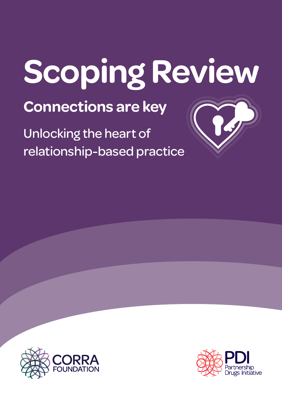# **Scoping Review**

**Connections are key**

Unlocking the heart of relationship-based practice



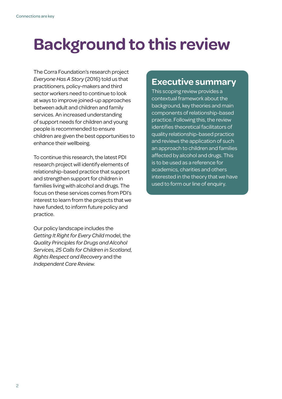# **Background to this review**

The Corra Foundation's research project *Everyone Has A Story (2016)* told us that practitioners, policy-makers and third sector workers need to continue to look at ways to improve joined-up approaches between adult and children and family services. An increased understanding of support needs for children and young people is recommended to ensure children are given the best opportunities to enhance their wellbeing.

To continue this research, the latest PDI research project will identify elements of relationship-based practice that support and strengthen support for children in families living with alcohol and drugs. The focus on these services comes from PDI's interest to learn from the projects that we have funded, to inform future policy and practice.

Our policy landscape includes the *Getting It Right for Every Child* model, the *Quality Principles for Drugs and Alcohol Services, 25 Calls for Children in Scotland*, *Rights Respect and Recovery* and the *Independent Care Review*.

#### **Executive summary**

This scoping review provides a contextual framework about the background, key theories and main components of relationship-based practice. Following this, the review identifies theoretical facilitators of quality relationship-based practice and reviews the application of such an approach to children and families affected by alcohol and drugs. This is to be used as a reference for academics, charities and others interested in the theory that we have used to form our line of enquiry.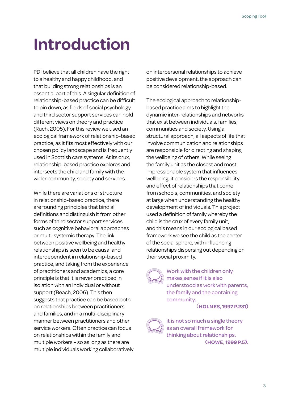# **Introduction**

PDI believe that all children have the right to a healthy and happy childhood, and that building strong relationships is an essential part of this. A singular definition of relationship-based practice can be difficult to pin down, as fields of social psychology and third sector support services can hold different views on theory and practice (Ruch, 2005). For this review we used an ecological framework of relationship-based practice, as it fits most effectively with our chosen policy landscape and is frequently used in Scottish care systems. At its crux, relationship-based practice explores and intersects the child and family with the wider community, society and services.

While there are variations of structure in relationship-based practice, there are founding principles that bind all definitions and distinguish it from other forms of third sector support services such as cognitive behavioral approaches or multi-systemic therapy. The link between positive wellbeing and healthy relationships is seen to be causal and interdependent in relationship-based practice, and taking from the experience of practitioners and academics, a core principle is that it is never practiced in isolation with an individual or without support (Beach, 2006). This then suggests that practice can be based both on relationships between practitioners and families, and in a multi-disciplinary manner between practitioners and other service workers. Often practice can focus on relationships within the family and multiple workers – so as long as there are multiple individuals working collaboratively

on interpersonal relationships to achieve positive development, the approach can be considered relationship-based.

The ecological approach to relationshipbased practice aims to highlight the dynamic inter-relationships and networks that exist between individuals, families, communities and society. Using a structural approach, all aspects of life that involve communication and relationships are responsible for directing and shaping the wellbeing of others. While seeing the family unit as the closest and most impressionable system that influences wellbeing, it considers the responsibility and effect of relationships that come from schools, communities, and society at large when understanding the healthy development of individuals. This project used a definition of family whereby the child is the crux of every family unit, and this means in our ecological based framework we see the child as the center of the social sphere, with influencing relationships dispersing out depending on their social proximity.

Work with the children only makes sense if it is also understood as work with parents, the family and the containing community.

*(***HOLMES, 1997 P.231)**

it is not so much a single theory as an overall framework for thinking about relationships. **(HOWE, 1999 P.5).**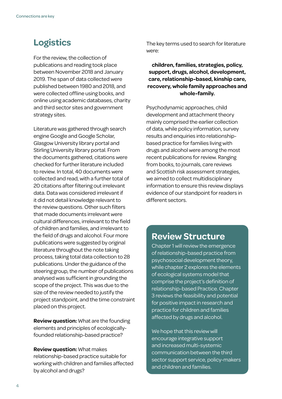#### **Logistics**

For the review, the collection of publications and reading took place between November 2018 and January 2019. The span of data collected were published between 1980 and 2018, and were collected offline using books, and online using academic databases, charity and third sector sites and government strategy sites.

Literature was gathered through search engine Google and Google Scholar, Glasgow University library portal and Stirling University library portal. From the documents gathered, citations were checked for further literature included to review. In total, 40 documents were collected and read, with a further total of 20 citations after filtering out irrelevant data. Data was considered irrelevant if it did not detail knowledge relevant to the review questions. Other such filters that made documents irrelevant were cultural differences, irrelevant to the field of children and families, and irrelevant to the field of drugs and alcohol. Four more publications were suggested by original literature throughout the note taking process, taking total data collection to 28 publications. Under the guidance of the steering group, the number of publications analysed was sufficient in grounding the scope of the project. This was due to the size of the review needed to justify the project standpoint, and the time constraint placed on this project.

**Review question:** What are the founding elements and principles of ecologicallyfounded relationship-based practice?

**Review question:** What makes relationship-based practice suitable for working with children and families affected by alcohol and drugs?

The key terms used to search for literature were:

**children, families, strategies, policy, support, drugs, alcohol, development, care, relationship-based, kinship care, recovery, whole family approaches and whole-family.**

Psychodynamic approaches, child development and attachment theory mainly comprised the earlier collection of data, while policy information, survey results and enquiries into relationshipbased practice for families living with drugs and alcohol were among the most recent publications for review. Ranging from books, to journals, care reviews and Scottish risk assessment strategies, we aimed to collect multidisciplinary information to ensure this review displays evidence of our standpoint for readers in different sectors.

#### **Review Structure**

Chapter 1 will review the emergence of relationship-based practice from psychosocial development theory, while chapter 2 explores the elements of ecological systems model that comprise the project's definition of relationship-based Practice. Chapter 3 reviews the feasibility and potential for positive impact in research and practice for children and families affected by drugs and alcohol.

We hope that this review will encourage integrative support and increased multi-systemic communication between the third sector support service, policy-makers and children and families.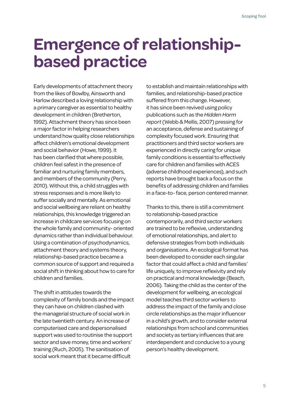## **Emergence of relationshipbased practice**

Early developments of attachment theory from the likes of Bowlby, Ainsworth and Harlow described a loving relationship with a primary caregiver as essential to healthy development in children (Bretherton, 1992). Attachment theory has since been a major factor in helping researchers understand how quality close relationships affect children's emotional development and social behavior (Howe, 1999). It has been clarified that where possible, children feel safest in the presence of familiar and nurturing family members, and members of the community (Perry, 2010). Without this, a child struggles with stress responses and is more likely to suffer socially and mentally. As emotional and social wellbeing are reliant on healthy relationships, this knowledge triggered an increase in childcare services focusing on the whole family and community- oriented dynamics rather than individual behaviour. Using a combination of psychodynamics, attachment theory and systems theory, relationship-based practice became a common source of support and required a social shift in thinking about how to care for children and families.

The shift in attitudes towards the complexity of family bonds and the impact they can have on children clashed with the managerial structure of social work in the late twentieth century. An increase of computerised care and depersonalised support was used to routinise the support sector and save money, time and workers' training (Ruch, 2005). The sanitisation of social work meant that it became difficult

to establish and maintain relationships with families, and relationship-based practice suffered from this change. However, it has since been revived using policy publications such as the *Hidden Harm report* (Webb & Mellis, 2007) pressing for an acceptance, defense and sustaining of complexity focused work. Ensuring that practitioners and third sector workers are experienced in directly caring for unique family conditions is essential to effectively care for children and families with ACES (adverse childhood experiences), and such reports have brought back a focus on the benefits of addressing children and families in a face-to- face, person centered manner.

Thanks to this, there is still a commitment to relationship-based practice contemporarily, and third sector workers are trained to be reflexive, understanding of emotional relationships, and alert to defensive strategies from both individuals and organisations. An ecological format has been developed to consider each singular factor that could affect a child and families' life uniquely, to improve reflexivity and rely on practical and moral knowledge (Beach, 2006). Taking the child as the center of the development for wellbeing, an ecological model teaches third sector workers to address the impact of the family and close circle relationships as the major influencer in a child's growth, and to consider external relationships from school and communities and society as tertiary influences that are interdependent and conducive to a young person's healthy development.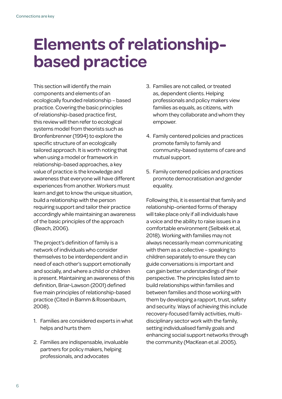## **Elements of relationshipbased practice**

This section will identify the main components and elements of an ecologically founded relationship – based practice. Covering the basic principles of relationship-based practice first, this review will then refer to ecological systems model from theorists such as Bronfenbrenner (1994) to explore the specific structure of an ecologically tailored approach. It is worth noting that when using a model or framework in relationship-based approaches, a key value of practice is the knowledge and awareness that everyone will have different experiences from another. Workers must learn and get to know the unique situation, build a relationship with the person requiring support and tailor their practice accordingly while maintaining an awareness of the basic principles of the approach (Beach, 2006).

The project's definition of family is a network of individuals who consider themselves to be interdependent and in need of each other's support emotionally and socially, and where a child or children is present. Maintaining an awareness of this definition, Briar-Lawson (2001) defined five main principles of relationship-based practice (Cited in Bamm & Rosenbaum, 2008).

- 1. Families are considered experts in what helps and hurts them
- 2. Families are indispensable, invaluable partners for policy makers, helping professionals, and advocates
- 3. Families are not called, or treated as, dependent clients. Helping professionals and policy makers view families as equals, as citizens, with whom they collaborate and whom they empower.
- 4. Family centered policies and practices promote family to family and community-based systems of care and mutual support.
- 5. Family centered policies and practices promote democratisation and gender equality.

Following this, it is essential that family and relationship-oriented forms of therapy will take place only if all individuals have a voice and the ability to raise issues in a comfortable environment (Selbekk et.al, 2018). Working with families may not always necessarily mean communicating with them as a collective – speaking to children separately to ensure they can guide conversations is important and can gain better understandings of their perspective. The principles listed aim to build relationships within families and between families and those working with them by developing a rapport, trust, safety and security. Ways of achieving this include recovery-focused family activities, multidisciplinary sector work with the family, setting individualised family goals and enhancing social support networks through the community (MacKean et.al .2005).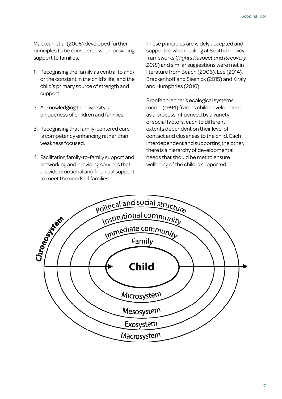Mackean et.al (2005) developed further principles to be considered when providing support to families.

- 1. Recognising the family as central to and/ or the constant in the child's life, and the child's primary source of strength and support.
- 2. Acknowledging the diversity and uniqueness of children and families.
- 3. Recognising that family-centered care is competency enhancing rather than weakness focused.
- 4. Facilitating family-to-family support and networking and providing services that provide emotional and financial support to meet the needs of families.

These principles are widely accepted and supported when looking at Scottish policy frameworks (*Rights Respect and Recovery, 2018*) and similar suggestions were met in literature from Beach (2006), Lee (2014), Brackenhoff and Slesnick (2015) and Kiraly and Humphries (2016).

Bronfenbrenner's ecological systems model (1994) frames child development as a process influenced by a variety of social factors, each to different extents dependent on their level of contact and closeness to the child. Each interdependent and supporting the other, there is a hierarchy of developmental needs that should be met to ensure wellbeing of the child is supported.

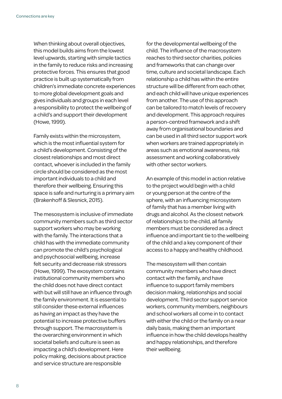When thinking about overall objectives, this model builds aims from the lowest level upwards, starting with simple tactics in the family to reduce risks and increasing protective forces. This ensures that good practice is built up systematically from children's immediate concrete experiences to more global development goals and gives individuals and groups in each level a responsibility to protect the wellbeing of a child's and support their development (Howe, 1999).

Family exists within the microsystem, which is the most influential system for a child's development. Consisting of the closest relationships and most direct contact, whoever is included in the family circle should be considered as the most important individuals to a child and therefore their wellbeing. Ensuring this space is safe and nurturing is a primary aim (Brakenhoff & Slesnick, 2015).

The mesosystem is inclusive of immediate community members such as third sector support workers who may be working with the family. The interactions that a child has with the immediate community can promote the child's psychological and psychosocial wellbeing, increase felt security and decrease risk stressors (Howe, 1999). The exosystem contains institutional community members who the child does not have direct contact with but will still have an influence through the family environment. It is essential to still consider these external influences as having an impact as they have the potential to increase protective buffers through support. The macrosystem is the overarching environment in which societal beliefs and culture is seen as impacting a child's development. Here policy making, decisions about practice and service structure are responsible

for the developmental wellbeing of the child. The influence of the macrosystem reaches to third sector charities, policies and frameworks that can change over time, culture and societal landscape. Each relationship a child has within the entire structure will be different from each other, and each child will have unique experiences from another. The use of this approach can be tailored to match levels of recovery and development. This approach requires a person-centred framework and a shift away from organisational boundaries and can be used in all third sector support work when workers are trained appropriately in areas such as emotional awareness, risk assessment and working collaboratively with other sector workers.

An example of this model in action relative to the project would begin with a child or young person at the centre of the sphere, with an influencing microsystem of family that has a member living with drugs and alcohol. As the closest network of relationships to the child, all family members must be considered as a direct influence and important tie to the wellbeing of the child and a key component of their access to a happy and healthy childhood.

The mesosystem will then contain community members who have direct contact with the family, and have influence to support family members decision making, relationships and social development. Third sector support service workers, community members, neighbours and school workers all come in to contact with either the child or the family on a near daily basis, making them an important influence in how the child develops healthy and happy relationships, and therefore their wellbeing.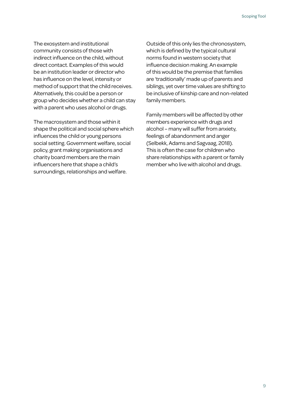The exosystem and institutional community consists of those with indirect influence on the child, without direct contact. Examples of this would be an institution leader or director who has influence on the level, intensity or method of support that the child receives. Alternatively, this could be a person or group who decides whether a child can stay with a parent who uses alcohol or drugs.

The macrosystem and those within it shape the political and social sphere which influences the child or young persons social setting. Government welfare, social policy, grant making organisations and charity board members are the main influencers here that shape a child's surroundings, relationships and welfare.

Outside of this only lies the chronosystem, which is defined by the typical cultural norms found in western society that influence decision making. An example of this would be the premise that families are 'traditionally' made up of parents and siblings, yet over time values are shifting to be inclusive of kinship care and non-related family members.

Family members will be affected by other members experience with drugs and alcohol – many will suffer from anxiety, feelings of abandonment and anger (Selbekk, Adams and Sagvaag, 2018). This is often the case for children who share relationships with a parent or family member who live with alcohol and drugs.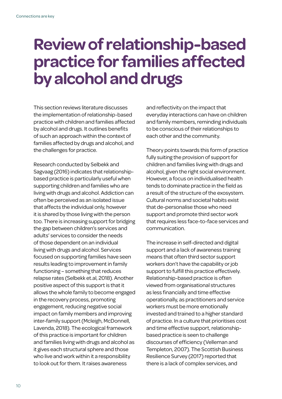## **Review of relationship-based practice for families affected by alcohol and drugs**

This section reviews literature discusses the implementation of relationship-based practice with children and families affected by alcohol and drugs. It outlines benefits of such an approach within the context of families affected by drugs and alcohol, and the challenges for practice.

Research conducted by Selbekk and Sagvaag (2016) indicates that relationshipbased practice is particularly useful when supporting children and families who are living with drugs and alcohol. Addiction can often be perceived as an isolated issue that affects the individual only, however it is shared by those living with the person too. There is increasing support for bridging the gap between children's services and adults' services to consider the needs of those dependent on an individual living with drugs and alcohol. Services focused on supporting families have seen results leading to improvement in family functioning – something that reduces relapse rates (Selbekk et.al, 2018). Another positive aspect of this support is that it allows the whole family to become engaged in the recovery process, promoting engagement, reducing negative social impact on family members and improving inter-family support (Mcleigh, McDonnell, Lavenda, 2018). The ecological framework of this practice is important for children and families living with drugs and alcohol as it gives each structural sphere and those who live and work within it a responsibility to look out for them. It raises awareness

and reflectivity on the impact that everyday interactions can have on children and family members, reminding individuals to be conscious of their relationships to each other and the community.

Theory points towards this form of practice fully suiting the provision of support for children and families living with drugs and alcohol, given the right social environment. However, a focus on individualised health tends to dominate practice in the field as a result of the structure of the exosystem. Cultural norms and societal habits exist that de-personalise those who need support and promote third sector work that requires less face-to-face services and communication.

The increase in self-directed and digital support and a lack of awareness training means that often third sector support workers don't have the capability or job support to fulfill this practice effectively. Relationship-based practice is often viewed from organisational structures as less financially and time effective operationally, as practitioners and service workers must be more emotionally invested and trained to a higher standard of practice. In a culture that prioritises cost and time effective support, relationshipbased practice is seen to challenge discourses of efficiency (Velleman and Templeton, 2007). The Scottish Business Resilience Survey (2017) reported that there is a lack of complex services, and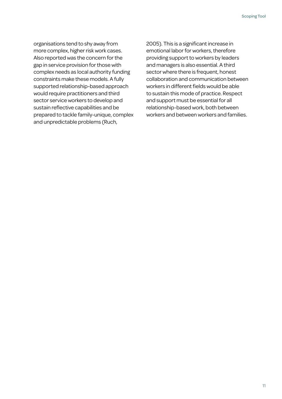organisations tend to shy away from more complex, higher risk work cases. Also reported was the concern for the gap in service provision for those with complex needs as local authority funding constraints make these models. A fully supported relationship-based approach would require practitioners and third sector service workers to develop and sustain reflective capabilities and be prepared to tackle family-unique, complex and unpredictable problems (Ruch,

2005). This is a significant increase in emotional labor for workers, therefore providing support to workers by leaders and managers is also essential. A third sector where there is frequent, honest collaboration and communication between workers in different fields would be able to sustain this mode of practice. Respect and support must be essential for all relationship-based work, both between workers and between workers and families.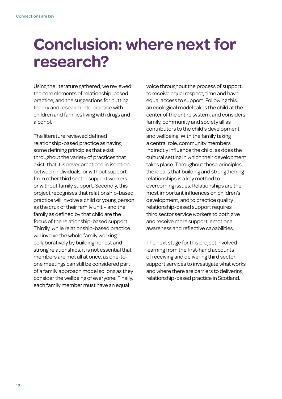## **Conclusion: where next for research?**

Using the literature gathered, we reviewed the core elements of relationship-based practice, and the suggestions for putting theory and research into practice with children and families living with drugs and alcohol.

The literature reviewed defined relationship-based practice as having some defining principles that exist throughout the variety of practices that exist; that it is never practiced in isolation between individuals, or without support from other third sector support workers or without family support. Secondly, this project recognises that relationship-based practice will involve a child or young person as the crux of their family unit – and the family as defined by that child are the focus of the relationship-based support. Thirdly, while relationship-based practice will involve the whole family working collaboratively by building honest and strong relationships, it is not essential that members are met all at once, as one-toone meetings can still be considered part of a family approach model so long as they consider the wellbeing of everyone. Finally, each family member must have an equal

voice throughout the process of support, to receive equal respect, time and have equal access to support. Following this, an ecological model takes the child at the center of the entire system, and considers family, community and society all as contributors to the child's development and wellbeing. With the family taking a central role, community members indirectly influence the child, as does the cultural setting in which their development takes place. Throughout these principles, the idea is that building and strengthening relationships is a key method to overcoming issues. Relationships are the most important influences on children's development, and to practice quality relationship-based support requires third sector service workers to both give and receive more support, emotional awareness and reflective capabilities.

The next stage for this project involved learning from the first-hand accounts of receiving and delivering third sector support services to investigate what works and where there are barriers to delivering relationship-based practice in Scotland.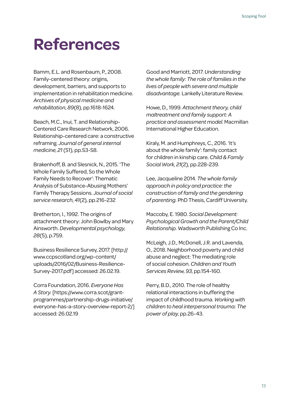## **References**

Bamm, E.L. and Rosenbaum, P., 2008. Family-centered theory: origins, development, barriers, and supports to implementation in rehabilitation medicine. *Archives of physical medicine and rehabilitation*, *89*(8), pp.1618-1624.

Beach, M.C., Inui, T. and Relationship-Centered Care Research Network, 2006. Relationship-centered care: a constructive reframing. *Journal of general internal medicine*, *21* (S1), pp.S3-S8.

Brakenhoff, B. and Slesnick, N., 2015. 'The Whole Family Suffered, So the Whole Family Needs to Recover': Thematic Analysis of Substance-Abusing Mothers' Family Therapy Sessions. *Journal of social service research*, *41*(2), pp.216-232

Bretherton, I., 1992. The origins of attachment theory: John Bowlby and Mary Ainsworth. *Developmental psychology*, *28*(5), p.759.

Business Resilience Survey, 2017. [http:// www.ccpscotland.org/wp-content/ uploads/2016/02/Business-Resilience-Survey-2017.pdf] accessed: 26.02.19.

Corra Foundation, 2016. *Everyone Has A Story.* [https://www.corra.scot/grantprogrammes/partnership-drugs-initiative/ everyone-has-a-story-overview-report-2/] accessed: 26.02.19

Good and Marriott, 2017. *Understanding the whole family: The role of families in the lives of people with severe and multiple disadvantage.* Lankelly Literature Review.

Howe, D., 1999. *Attachment theory, child maltreatment and family support: A practice and assessment model*. Macmillan International Higher Education.

Kiraly, M. and Humphreys, C., 2016. 'It's about the whole family': family contact for children in kinship care. *Child & Family Social Work*, *21*(2), pp.228-239.

Lee, Jacqueline 2014. *The whole family approach in policy and practice: the construction of family and the gendering of parenting.* PhD Thesis, Cardiff University.

Maccoby, E. 1980. *Social Development: Psychological Growth and the Parent/Child Relationship.* Wadsworth Publishing Co Inc.

McLeigh, J.D., McDonell, J.R. and Lavenda, O., 2018. Neighborhood poverty and child abuse and neglect: The mediating role of social cohesion. *Children and Youth Services Review*, *93*, pp.154-160.

Perry, B.D., 2010. The role of healthy relational interactions in buffering the impact of childhood trauma. *Working with children to heal interpersonal trauma: The power of play*, pp.26-43.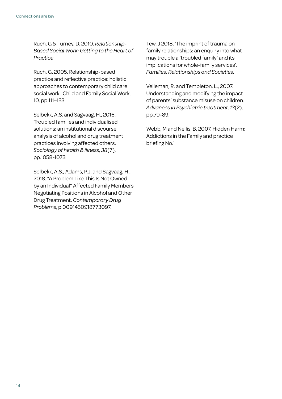Ruch, G & Turney, D. 2010. *Relationship-Based Social Work: Getting to the Heart of Practice*

Ruch, G. 2005. Relationship-based practice and reflective practice: holistic approaches to contemporary child care social work . Child and Family Social Work. 10, pp 111–123

Selbekk, A.S. and Sagvaag, H., 2016. Troubled families and individualised solutions: an institutional discourse analysis of alcohol and drug treatment practices involving affected others. *Sociology of health & illness*, *38*(7), pp.1058-1073

Selbekk, A.S., Adams, P.J. and Sagvaag, H., 2018. "A Problem Like This Is Not Owned by an Individual" Affected Family Members Negotiating Positions in Alcohol and Other Drug Treatment. *Contemporary Drug Problems*, p.0091450918773097.

[Tew, J](https://research.birmingham.ac.uk/portal/en/persons/jerry-tew(cb15d87d-e8cc-443e-ae5d-a9d67449b424).html) 2018, 'The imprint of trauma on family relationships: an enquiry into what may trouble a 'troubled family' and its implications for whole-family services', *[Families, Relationships and Societies](https://research.birmingham.ac.uk/portal/en/journals/families-relationships-and-societies(d1412d6c-5137-4fc4-b03c-445c47620e17)/publications.html)*.

Velleman, R. and Templeton, L., 2007. Understanding and modifying the impact of parents' substance misuse on children. *Advances in Psychiatric treatment*, *13*(2), pp.79-89.

Webb, M and Nellis, B. 2007. Hidden Harm: Addictions in the Family and practice briefing No.1